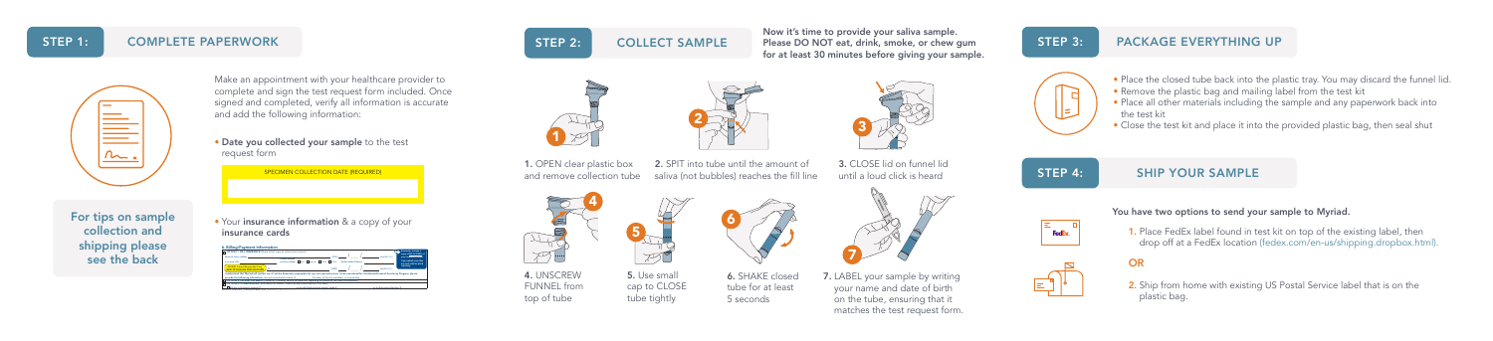SIGN HERE: Patient/Responsible Party I AGREE TO THE BILLING TERMS ON REVERSE X

DATE: I understand that Myriad will contact me if I will be financially responsible for any non-covered service. To be considered for the Myriad Financial Assistance Program, please

provide the following information: Annual household income \$ . Number of family members in household . OPTION 2: PATIENT PAYMENT (Please call Customer Service for questions regarding test prices or for credit card payment) OPTION 3: OTHER BILLING (To establish an account, submit billing information with this form)



and add the following information:

SPECIMEN COLLECTION DATE (REQUIRED)

**Solution** in the cards and the control of the control of the control of the control of the control of the control of the control of the control of the control of the control of the control of the control of the control of

Bill our institutional account #: or established research project code #: or Authorization/Voucher #:

MYRIAD GENETIC LABORATORIES, INC. A CLIA Certified Laboratory

# STEP 1: COMPLETE PAPERWORK

STEP 2: COLLECT SAMPLE Please DO NOT eat, drink, smoke, or chew gum STEP 3: PACKAGE EVERYTHING UP Now it's time to provide your saliva sample. for at least 30 minutes before giving your sample.

























Reminder: Include a copy of BOTH SIDES of your insurance card(s). If you submit more than one card, indicate which

# $\mathbb{E}^{\mathbb{Z}}$   $|$

 $\bigotimes\hspace{-0.3cm}\bigotimes$ 











- 
- 2. Ship from home with existing US Postal Service label that is on the plastic bag.

2. SPIT into tube until the amount of saliva (not bubbles) reaches the fill line



For tips on sample  $\bullet$  Your insurance information & a copy of your collection and shipping please see the back



6. Billing/Payment Information OPTION 1: BILL INSURANCE (Please attach copy of authorization/referral) Name of Policy Holder: DOB: Insurance ID#: to Policy Holder: Self Spouse Child Other Authorization/Referral: Patient Relation

- Place the closed tube back into the plastic tray. You may discard the funnel lid.
- Remove the plastic bag and mailing label from the test kit
- Place all other materials including the sample and any paperwork back into the test kit
- Close the test kit and place it into the provided plastic bag, then seal shut

# STEP 4: SHIP YOUR SAMPLE



# You have two options to send your sample to Myriad.

1. Place FedEx label found in test kit on top of the existing label, then drop off at a FedEx location (fedex.com/en-us/shipping.dropbox.html).



3. CLOSE lid on funnel lid

until a loud click is heard

4. UNSCREW FUNNEL from

 $\sqrt{116}$  $|\nabla f|$ 





5. Use small





1. OPEN clear plastic box and remove collection tube

6. SHAKE closed tube for at least 5 seconds







Make an appointment with your healthcare provider to

complete and sign the test request form included. Once signed and completed, verify all information is accurate



cap to CLOSE tube tightly

7. LABEL your sample by writing your name and date of birth on the tube, ensuring that it matches the test request form.

2

 $70$ 

7

3